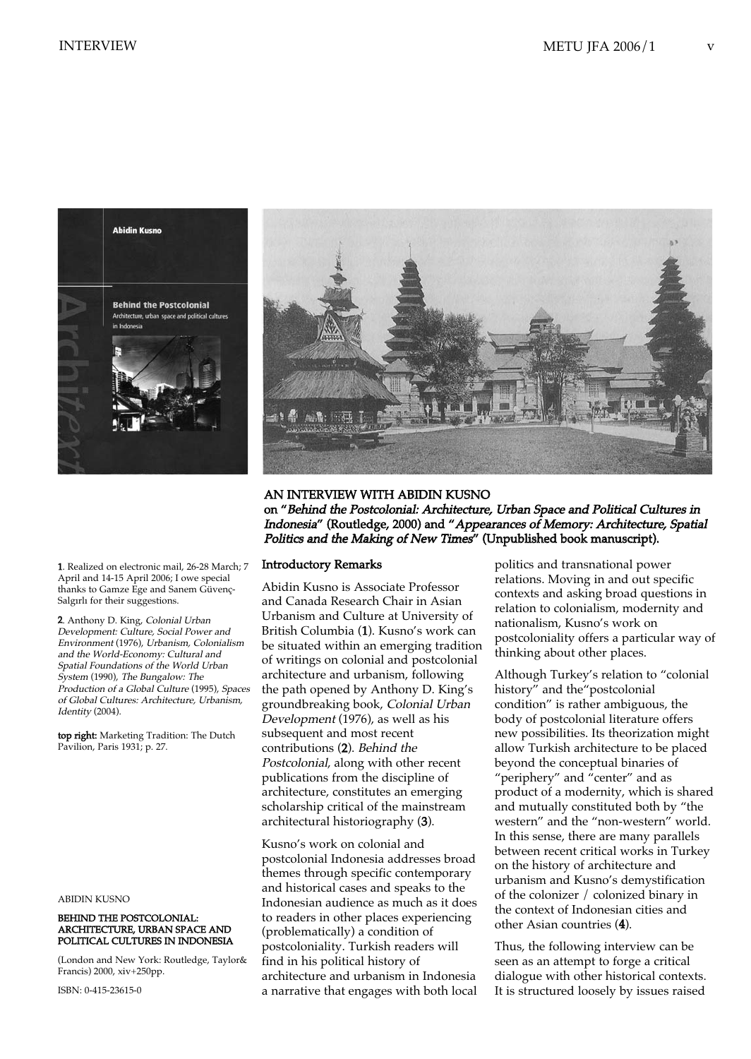



AN INTERVIEW WITH ABIDIN KUSNO on "Behind the Postcolonial: Architecture, Urban Space and Political Cultures in Indonesia" (Routledge, 2000) and "Appearances of Memory: Architecture, Spatial Politics and the Making of New Times" (Unpublished book manuscript).

### Introductory Remarks

Abidin Kusno is Associate Professor and Canada Research Chair in Asian Urbanism and Culture at University of British Columbia (1). Kusno's work can be situated within an emerging tradition of writings on colonial and postcolonial architecture and urbanism, following the path opened by Anthony D. King's groundbreaking book, Colonial Urban Development (1976), as well as his subsequent and most recent contributions (2). Behind the Postcolonial, along with other recent publications from the discipline of architecture, constitutes an emerging scholarship critical of the mainstream architectural historiography (3).

Kusno's work on colonial and postcolonial Indonesia addresses broad themes through specific contemporary and historical cases and speaks to the Indonesian audience as much as it does to readers in other places experiencing (problematically) a condition of postcoloniality. Turkish readers will find in his political history of architecture and urbanism in Indonesia a narrative that engages with both local

politics and transnational power relations. Moving in and out specific contexts and asking broad questions in relation to colonialism, modernity and nationalism, Kusno's work on postcoloniality offers a particular way of thinking about other places.

Although Turkey's relation to "colonial history" and the "postcolonial condition" is rather ambiguous, the body of postcolonial literature offers new possibilities. Its theorization might allow Turkish architecture to be placed beyond the conceptual binaries of "periphery" and "center" and as product of a modernity, which is shared and mutually constituted both by "the western" and the "non-western" world. In this sense, there are many parallels between recent critical works in Turkey on the history of architecture and urbanism and Kusno's demystification of the colonizer / colonized binary in the context of Indonesian cities and other Asian countries (4).

Thus, the following interview can be seen as an attempt to forge a critical dialogue with other historical contexts. It is structured loosely by issues raised

1. Realized on electronic mail, 26-28 March; 7 April and 14-15 April 2006; I owe special thanks to Gamze Ege and Sanem Güvenç-Salgirli for their suggestions.

2. Anthony D. King, Colonial Urban Development: Culture, Social Power and Environment (1976), Urbanism, Colonialism and the World-Economy: Cultural and Spatial Foundations of the World Urban System (1990), The Bungalow: The Production of a Global Culture (1995), Spaces of Global Cultures: Architecture, Urbanism, Identity (2004).

top right: Marketing Tradition: The Dutch Pavilion, Paris 1931; p. 27.

ABIDIN KUSNO

#### BEHIND THE POSTCOLONIAL: ARCHITECTURE, URBAN SPACE AND POLITICAL CULTURES IN INDONESIA

(London and New York: Routledge, Taylor& Francis) 2000, xiv+250pp.

ISBN: 0-415-23615-0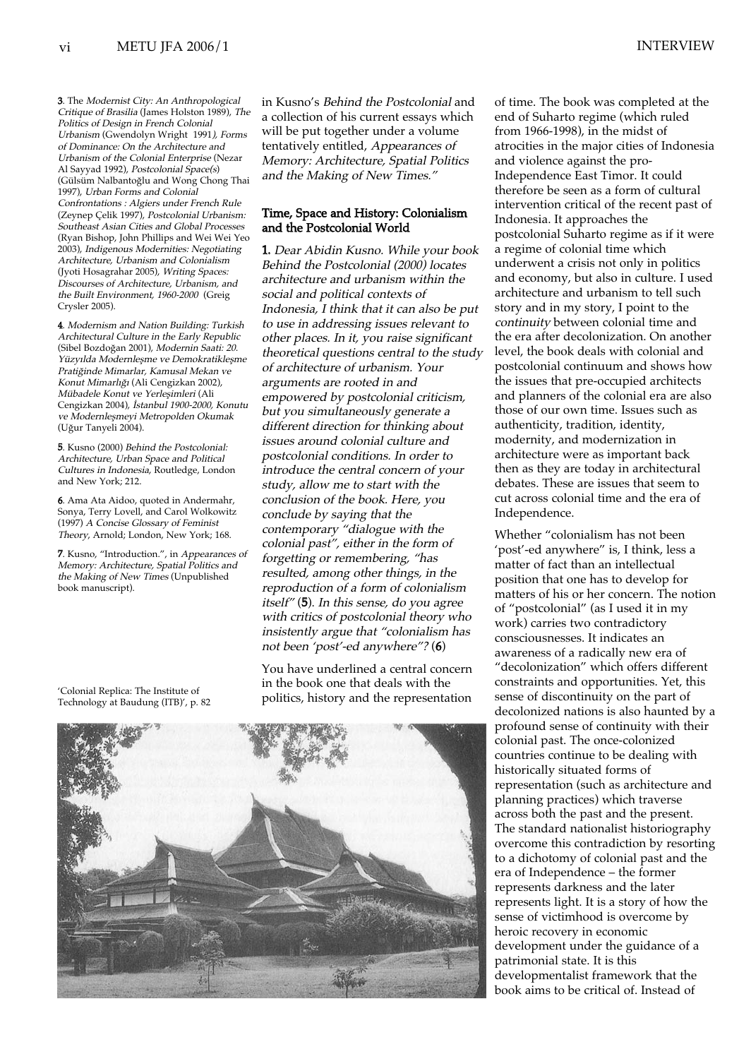3. The Modernist City: An Anthropological Critique of Brasilia (James Holston 1989), The Politics of Design in French Colonial Urbanism (Gwendolyn Wright 1991), Forms of Dominance: On the Architecture and Urbanism of the Colonial Enterprise (Nezar Al Sayyad 1992), Postcolonial Space(s) (Gülsüm Nalbantoðlu and Wong Chong Thai 1997), Urban Forms and Colonial Confrontations : Algiers under French Rule (Zeynep Çelik 1997), Postcolonial Urbanism: Southeast Asian Cities and Global Processes (Ryan Bishop, John Phillips and Wei Wei Yeo 2003), Indigenous Modernities: Negotiating Architecture, Urbanism and Colonialism (Jyoti Hosagrahar 2005), Writing Spaces: Discourses of Architecture, Urbanism, and the Built Environment, 1960-2000 (Greig Crysler 2005).

4. Modernism and Nation Building: Turkish Architectural Culture in the Early Republic (Sibel Bozdoğan 2001), Modernin Saati: 20. Yüzyılda Modernleşme ve Demokratikleşme Pratiğinde Mimarlar, Kamusal Mekan ve Konut Mimarlığı (Ali Cengizkan 2002), Mübadele Konut ve Yerleşimleri (Ali Cengizkan 2004), İstanbul 1900-2000, Konutu ve Modernleşmeyi Metropolden Okumak (Uður Tanyeli 2004).

5. Kusno (2000) Behind the Postcolonial: Architecture, Urban Space and Political Cultures in Indonesia, Routledge, London and New York; 212.

6. Ama Ata Aidoo, quoted in Andermahr, Sonya, Terry Lovell, and Carol Wolkowitz (1997) A Concise Glossary of Feminist Theory, Arnold; London, New York; 168.

7. Kusno, "Introduction.", in Appearances of Memory: Architecture, Spatial Politics and the Making of New Times (Unpublished book manuscript).

'Colonial Replica: The Institute of

in Kusno's Behind the Postcolonial and a collection of his current essays which will be put together under a volume tentatively entitled, Appearances of Memory: Architecture, Spatial Politics and the Making of New Times."

# Time, Space and History: Colonialism and the Postcolonial World

1. Dear Abidin Kusno. While your book Behind the Postcolonial (2000) locates architecture and urbanism within the social and political contexts of Indonesia, I think that it can also be put to use in addressing issues relevant to other places. In it, you raise significant theoretical questions central to the study of architecture of urbanism. Your arguments are rooted in and empowered by postcolonial criticism, but you simultaneously generate a different direction for thinking about issues around colonial culture and postcolonial conditions. In order to introduce the central concern of your study, allow me to start with the conclusion of the book. Here, you conclude by saying that the contemporary "dialogue with the colonial past", either in the form of forgetting or remembering, "has resulted, among other things, in the reproduction of a form of colonialism itself" (5). In this sense, do you agree with critics of postcolonial theory who insistently argue that "colonialism has not been 'post'-ed anywhere"? (6)

You have underlined a central concern in the book one that deals with the politics, history and the representation



of time. The book was completed at the end of Suharto regime (which ruled from 1966-1998), in the midst of atrocities in the major cities of Indonesia and violence against the pro-Independence East Timor. It could therefore be seen as a form of cultural intervention critical of the recent past of Indonesia. It approaches the postcolonial Suharto regime as if it were a regime of colonial time which underwent a crisis not only in politics and economy, but also in culture. I used architecture and urbanism to tell such story and in my story, I point to the continuity between colonial time and the era after decolonization. On another level, the book deals with colonial and postcolonial continuum and shows how the issues that pre-occupied architects and planners of the colonial era are also those of our own time. Issues such as authenticity, tradition, identity, modernity, and modernization in architecture were as important back then as they are today in architectural debates. These are issues that seem to cut across colonial time and the era of Independence.

Whether "colonialism has not been 'post'-ed anywhere" is, I think, less a matter of fact than an intellectual position that one has to develop for matters of his or her concern. The notion of "postcolonial" (as I used it in my work) carries two contradictory consciousnesses. It indicates an awareness of a radically new era of "decolonization" which offers different constraints and opportunities. Yet, this sense of discontinuity on the part of decolonized nations is also haunted by a profound sense of continuity with their colonial past. The once-colonized countries continue to be dealing with historically situated forms of representation (such as architecture and planning practices) which traverse across both the past and the present. The standard nationalist historiography overcome this contradiction by resorting to a dichotomy of colonial past and the era of Independence – the former represents darkness and the later represents light. It is a story of how the sense of victimhood is overcome by heroic recovery in economic development under the guidance of a patrimonial state. It is this developmentalist framework that the book aims to be critical of. Instead of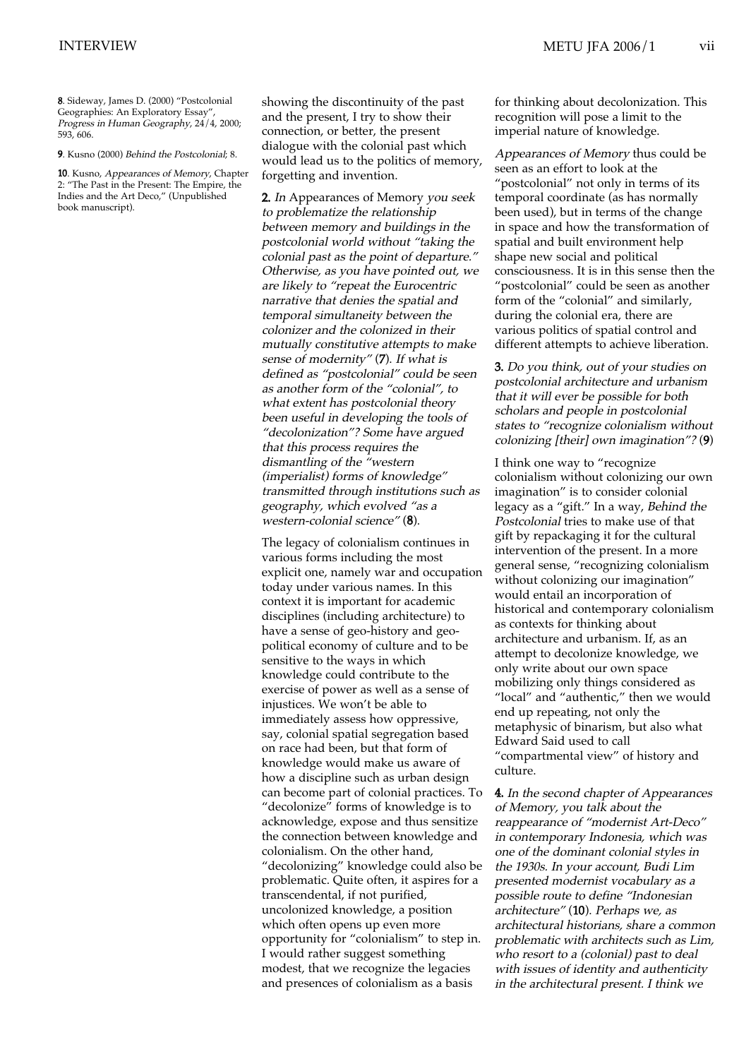8. Sideway, James D. (2000) "Postcolonial Geographies: An Exploratory Essay", Progress in Human Geography, 24/4, 2000; 593, 606.

9. Kusno (2000) Behind the Postcolonial; 8.

10. Kusno, Appearances of Memory, Chapter 2: "The Past in the Present: The Empire, the Indies and the Art Deco," (Unpublished book manuscript).

showing the discontinuity of the past and the present, I try to show their connection, or better, the present dialogue with the colonial past which would lead us to the politics of memory, forgetting and invention.

2. In Appearances of Memory you seek to problematize the relationship between memory and buildings in the postcolonial world without "taking the colonial past as the point of departure." Otherwise, as you have pointed out, we are likely to "repeat the Eurocentric narrative that denies the spatial and temporal simultaneity between the colonizer and the colonized in their mutually constitutive attempts to make sense of modernity" (7). If what is defined as "postcolonial" could be seen as another form of the "colonial", to what extent has postcolonial theory been useful in developing the tools of "decolonization"? Some have argued that this process requires the dismantling of the "western (imperialist) forms of knowledge" transmitted through institutions such as geography, which evolved "as a western-colonial science" (8).

The legacy of colonialism continues in various forms including the most explicit one, namely war and occupation today under various names. In this context it is important for academic disciplines (including architecture) to have a sense of geo-history and geopolitical economy of culture and to be sensitive to the ways in which knowledge could contribute to the exercise of power as well as a sense of injustices. We won't be able to immediately assess how oppressive, say, colonial spatial segregation based on race had been, but that form of knowledge would make us aware of how a discipline such as urban design can become part of colonial practices. To "decolonize" forms of knowledge is to acknowledge, expose and thus sensitize the connection between knowledge and colonialism. On the other hand, "decolonizing" knowledge could also be problematic. Quite often, it aspires for a transcendental, if not purified, uncolonized knowledge, a position which often opens up even more opportunity for "colonialism" to step in. I would rather suggest something modest, that we recognize the legacies and presences of colonialism as a basis

for thinking about decolonization. This recognition will pose a limit to the imperial nature of knowledge.

Appearances of Memory thus could be seen as an effort to look at the "postcolonial" not only in terms of its temporal coordinate (as has normally been used), but in terms of the change in space and how the transformation of spatial and built environment help shape new social and political consciousness. It is in this sense then the "postcolonial" could be seen as another form of the "colonial" and similarly, during the colonial era, there are various politics of spatial control and different attempts to achieve liberation.

3. Do you think, out of your studies on postcolonial architecture and urbanism that it will ever be possible for both scholars and people in postcolonial states to "recognize colonialism without colonizing [their] own imagination"? (9)

I think one way to "recognize colonialism without colonizing our own imagination" is to consider colonial legacy as a "gift." In a way, Behind the Postcolonial tries to make use of that gift by repackaging it for the cultural intervention of the present. In a more general sense, "recognizing colonialism without colonizing our imagination" would entail an incorporation of historical and contemporary colonialism as contexts for thinking about architecture and urbanism. If, as an attempt to decolonize knowledge, we only write about our own space mobilizing only things considered as "local" and "authentic," then we would end up repeating, not only the metaphysic of binarism, but also what Edward Said used to call "compartmental view" of history and culture.

4. In the second chapter of Appearances of Memory, you talk about the reappearance of "modernist Art-Deco" in contemporary Indonesia, which was one of the dominant colonial styles in the 1930s. In your account, Budi Lim presented modernist vocabulary as a possible route to define "Indonesian architecture" (10). Perhaps we, as architectural historians, share a common problematic with architects such as Lim, who resort to a (colonial) past to deal with issues of identity and authenticity in the architectural present. I think we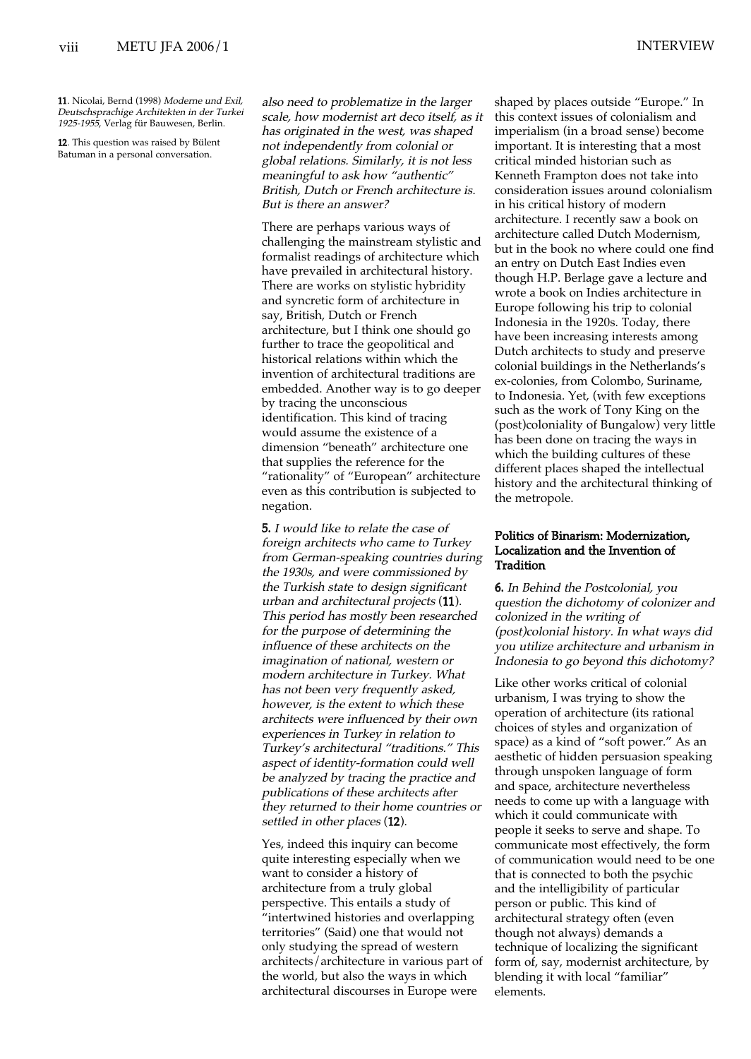11. Nicolai, Bernd (1998) Moderne und Exil, Deutschsprachige Architekten in der Turkei 1925-1955, Verlag für Bauwesen, Berlin.

12. This question was raised by Bülent Batuman in a personal conversation.

also need to problematize in the larger scale, how modernist art deco itself, as it has originated in the west, was shaped not independently from colonial or global relations. Similarly, it is not less meaningful to ask how "authentic" British, Dutch or French architecture is. But is there an answer?

There are perhaps various ways of challenging the mainstream stylistic and formalist readings of architecture which have prevailed in architectural history. There are works on stylistic hybridity and syncretic form of architecture in say, British, Dutch or French architecture, but I think one should go further to trace the geopolitical and historical relations within which the invention of architectural traditions are embedded. Another way is to go deeper by tracing the unconscious identification. This kind of tracing would assume the existence of a dimension "beneath" architecture one that supplies the reference for the "rationality" of "European" architecture even as this contribution is subjected to negation.

5. I would like to relate the case of foreign architects who came to Turkey from German-speaking countries during the 1930s, and were commissioned by the Turkish state to design significant urban and architectural projects (11). This period has mostly been researched for the purpose of determining the influence of these architects on the imagination of national, western or modern architecture in Turkey. What has not been very frequently asked, however, is the extent to which these architects were influenced by their own experiences in Turkey in relation to Turkey's architectural "traditions." This aspect of identity-formation could well be analyzed by tracing the practice and publications of these architects after they returned to their home countries or settled in other places (12).

Yes, indeed this inquiry can become quite interesting especially when we want to consider a history of architecture from a truly global perspective. This entails a study of "intertwined histories and overlapping territories" (Said) one that would not only studying the spread of western architects/architecture in various part of the world, but also the ways in which architectural discourses in Europe were

shaped by places outside "Europe." In this context issues of colonialism and imperialism (in a broad sense) become important. It is interesting that a most critical minded historian such as Kenneth Frampton does not take into consideration issues around colonialism in his critical history of modern architecture. I recently saw a book on architecture called Dutch Modernism, but in the book no where could one find an entry on Dutch East Indies even though H.P. Berlage gave a lecture and wrote a book on Indies architecture in Europe following his trip to colonial Indonesia in the 1920s. Today, there have been increasing interests among Dutch architects to study and preserve colonial buildings in the Netherlands's ex-colonies, from Colombo, Suriname, to Indonesia. Yet, (with few exceptions such as the work of Tony King on the (post)coloniality of Bungalow) very little has been done on tracing the ways in which the building cultures of these different places shaped the intellectual history and the architectural thinking of the metropole.

# Politics of Binarism: Modernization, Localization and the Invention of **Tradition**

6. In Behind the Postcolonial, you question the dichotomy of colonizer and colonized in the writing of (post)colonial history. In what ways did you utilize architecture and urbanism in Indonesia to go beyond this dichotomy?

Like other works critical of colonial urbanism, I was trying to show the operation of architecture (its rational choices of styles and organization of space) as a kind of "soft power." As an aesthetic of hidden persuasion speaking through unspoken language of form and space, architecture nevertheless needs to come up with a language with which it could communicate with people it seeks to serve and shape. To communicate most effectively, the form of communication would need to be one that is connected to both the psychic and the intelligibility of particular person or public. This kind of architectural strategy often (even though not always) demands a technique of localizing the significant form of, say, modernist architecture, by blending it with local "familiar" elements.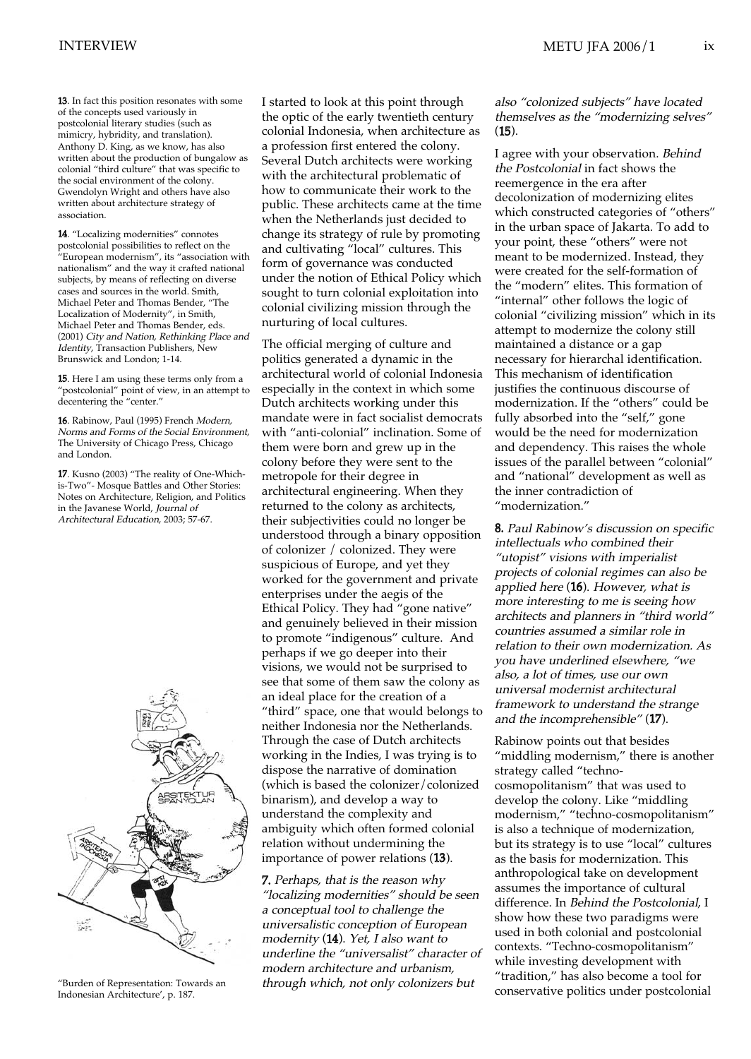13. In fact this position resonates with some of the concepts used variously in postcolonial literary studies (such as mimicry, hybridity, and translation). Anthony D. King, as we know, has also written about the production of bungalow as colonial "third culture" that was specific to the social environment of the colony. Gwendolyn Wright and others have also written about architecture strategy of association.

14. "Localizing modernities" connotes postcolonial possibilities to reflect on the "European modernism", its "association with nationalism" and the way it crafted national subjects, by means of reflecting on diverse cases and sources in the world. Smith, Michael Peter and Thomas Bender, "The Localization of Modernity", in Smith, Michael Peter and Thomas Bender, eds. (2001) City and Nation, Rethinking Place and Identity, Transaction Publishers, New Brunswick and London; 1-14.

15. Here I am using these terms only from a "postcolonial" point of view, in an attempt to decentering the "center."

16. Rabinow, Paul (1995) French Modern, Norms and Forms of the Social Environment, The University of Chicago Press, Chicago and London.

17. Kusno (2003) "The reality of One-Whichis-Two"- Mosque Battles and Other Stories: Notes on Architecture, Religion, and Politics in the Javanese World, Journal of Architectural Education, 2003; 57-67.



"Burden of Representation: Towards an Indonesian Architecture', p. 187.

I started to look at this point through the optic of the early twentieth century colonial Indonesia, when architecture as a profession first entered the colony. Several Dutch architects were working with the architectural problematic of how to communicate their work to the public. These architects came at the time when the Netherlands just decided to change its strategy of rule by promoting and cultivating "local" cultures. This form of governance was conducted under the notion of Ethical Policy which sought to turn colonial exploitation into colonial civilizing mission through the nurturing of local cultures.

The official merging of culture and politics generated a dynamic in the architectural world of colonial Indonesia especially in the context in which some Dutch architects working under this mandate were in fact socialist democrats with "anti-colonial" inclination. Some of them were born and grew up in the colony before they were sent to the metropole for their degree in architectural engineering. When they returned to the colony as architects, their subjectivities could no longer be understood through a binary opposition of colonizer / colonized. They were suspicious of Europe, and yet they worked for the government and private enterprises under the aegis of the Ethical Policy. They had "gone native" and genuinely believed in their mission to promote "indigenous" culture. And perhaps if we go deeper into their visions, we would not be surprised to see that some of them saw the colony as an ideal place for the creation of a "third" space, one that would belongs to neither Indonesia nor the Netherlands. Through the case of Dutch architects working in the Indies, I was trying is to dispose the narrative of domination (which is based the colonizer/colonized binarism), and develop a way to understand the complexity and ambiguity which often formed colonial relation without undermining the importance of power relations (13).

7. Perhaps, that is the reason why "localizing modernities" should be seen a conceptual tool to challenge the universalistic conception of European modernity (14). Yet, I also want to underline the "universalist" character of modern architecture and urbanism, through which, not only colonizers but

# also "colonized subjects" have located themselves as the "modernizing selves" (15).

I agree with your observation. Behind the Postcolonial in fact shows the reemergence in the era after decolonization of modernizing elites which constructed categories of "others" in the urban space of Jakarta. To add to your point, these "others" were not meant to be modernized. Instead, they were created for the self-formation of the "modern" elites. This formation of "internal" other follows the logic of colonial "civilizing mission" which in its attempt to modernize the colony still maintained a distance or a gap necessary for hierarchal identification. This mechanism of identification justifies the continuous discourse of modernization. If the "others" could be fully absorbed into the "self," gone would be the need for modernization and dependency. This raises the whole issues of the parallel between "colonial" and "national" development as well as the inner contradiction of "modernization."

8. Paul Rabinow's discussion on specific intellectuals who combined their "utopist" visions with imperialist projects of colonial regimes can also be applied here (16). However, what is more interesting to me is seeing how architects and planners in "third world" countries assumed a similar role in relation to their own modernization. As you have underlined elsewhere, "we also, a lot of times, use our own universal modernist architectural framework to understand the strange and the incomprehensible" (17).

Rabinow points out that besides "middling modernism," there is another strategy called "technocosmopolitanism" that was used to develop the colony. Like "middling modernism," "techno-cosmopolitanism" is also a technique of modernization, but its strategy is to use "local" cultures as the basis for modernization. This anthropological take on development assumes the importance of cultural difference. In Behind the Postcolonial, I show how these two paradigms were used in both colonial and postcolonial contexts. "Techno-cosmopolitanism" while investing development with "tradition," has also become a tool for conservative politics under postcolonial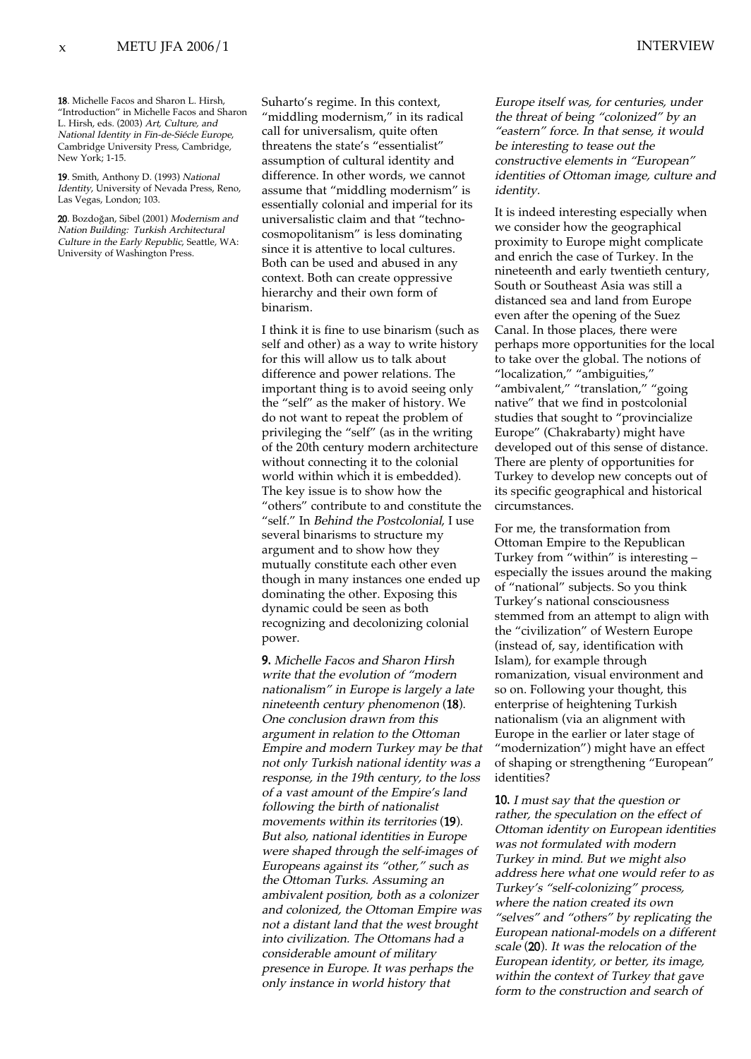18. Michelle Facos and Sharon L. Hirsh, "Introduction" in Michelle Facos and Sharon L. Hirsh, eds. (2003) Art, Culture, and National Identity in Fin-de-Siécle Europe, Cambridge University Press, Cambridge, New York; 1-15.

19. Smith, Anthony D. (1993) National Identity, University of Nevada Press, Reno, Las Vegas, London; 103.

20. Bozdoğan, Sibel (2001) Modernism and Nation Building: Turkish Architectural Culture in the Early Republic, Seattle, WA: University of Washington Press.

Suharto's regime. In this context, "middling modernism," in its radical call for universalism, quite often threatens the state's "essentialist" assumption of cultural identity and difference. In other words, we cannot assume that "middling modernism" is essentially colonial and imperial for its universalistic claim and that "technocosmopolitanism" is less dominating since it is attentive to local cultures. Both can be used and abused in any context. Both can create oppressive hierarchy and their own form of binarism.

I think it is fine to use binarism (such as self and other) as a way to write history for this will allow us to talk about difference and power relations. The important thing is to avoid seeing only the "self" as the maker of history. We do not want to repeat the problem of privileging the "self" (as in the writing of the 20th century modern architecture without connecting it to the colonial world within which it is embedded). The key issue is to show how the "others" contribute to and constitute the "self." In Behind the Postcolonial, I use several binarisms to structure my argument and to show how they mutually constitute each other even though in many instances one ended up dominating the other. Exposing this dynamic could be seen as both recognizing and decolonizing colonial power.

9. Michelle Facos and Sharon Hirsh write that the evolution of "modern nationalism" in Europe is largely a late nineteenth century phenomenon (18). One conclusion drawn from this argument in relation to the Ottoman Empire and modern Turkey may be that not only Turkish national identity was a response, in the 19th century, to the loss of a vast amount of the Empire's land following the birth of nationalist movements within its territories (19). But also, national identities in Europe were shaped through the self-images of Europeans against its "other," such as the Ottoman Turks. Assuming an ambivalent position, both as a colonizer and colonized, the Ottoman Empire was not a distant land that the west brought into civilization. The Ottomans had a considerable amount of military presence in Europe. It was perhaps the only instance in world history that

Europe itself was, for centuries, under the threat of being "colonized" by an "eastern" force. In that sense, it would be interesting to tease out the constructive elements in "European" identities of Ottoman image, culture and identity.

It is indeed interesting especially when we consider how the geographical proximity to Europe might complicate and enrich the case of Turkey. In the nineteenth and early twentieth century, South or Southeast Asia was still a distanced sea and land from Europe even after the opening of the Suez Canal. In those places, there were perhaps more opportunities for the local to take over the global. The notions of "localization," "ambiguities," "ambivalent," "translation," "going native" that we find in postcolonial studies that sought to "provincialize Europe" (Chakrabarty) might have developed out of this sense of distance. There are plenty of opportunities for Turkey to develop new concepts out of its specific geographical and historical circumstances.

For me, the transformation from Ottoman Empire to the Republican Turkey from "within" is interesting – especially the issues around the making of "national" subjects. So you think Turkey's national consciousness stemmed from an attempt to align with the "civilization" of Western Europe (instead of, say, identification with Islam), for example through romanization, visual environment and so on. Following your thought, this enterprise of heightening Turkish nationalism (via an alignment with Europe in the earlier or later stage of "modernization") might have an effect of shaping or strengthening "European" identities?

10. I must say that the question or rather, the speculation on the effect of Ottoman identity on European identities was not formulated with modern Turkey in mind. But we might also address here what one would refer to as Turkey's "self-colonizing" process, where the nation created its own "selves" and "others" by replicating the European national-models on a different scale (20). It was the relocation of the European identity, or better, its image, within the context of Turkey that gave form to the construction and search of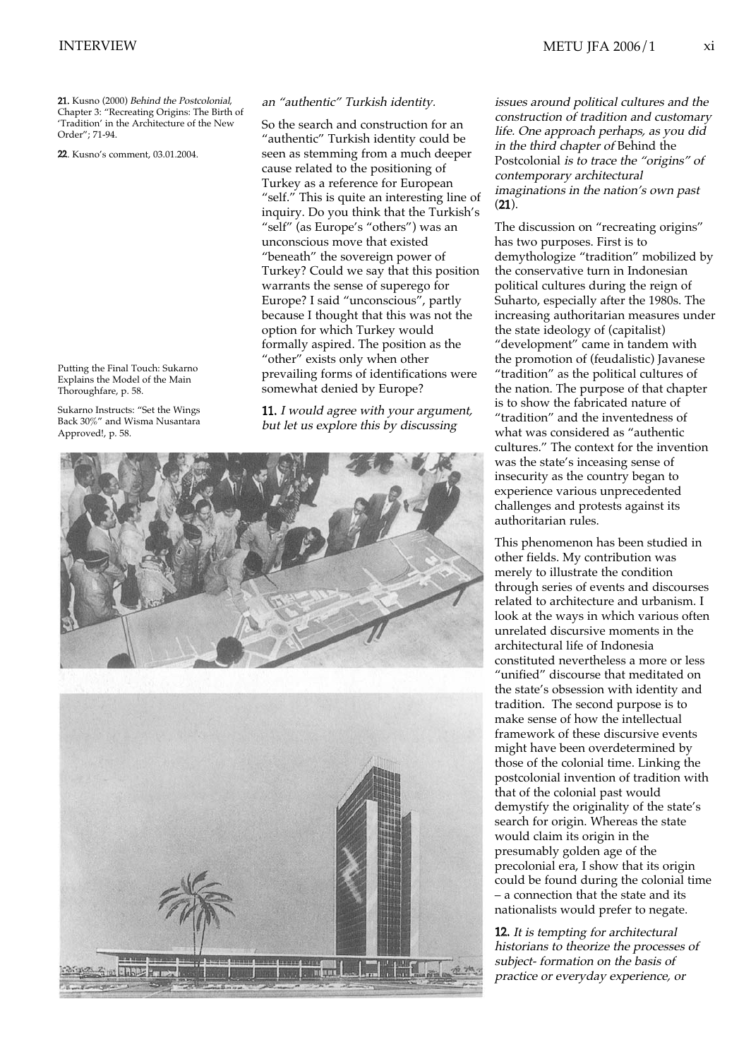21. Kusno (2000) Behind the Postcolonial, Chapter 3: "Recreating Origins: The Birth of 'Tradition' in the Architecture of the New Order"; 71-94.

22. Kusno's comment, 03.01.2004.

Putting the Final Touch: Sukarno Explains the Model of the Main Thoroughfare, p. 58.

Sukarno Instructs: "Set the Wings Back 30%" and Wisma Nusantara Approved!, p. 58.

### an "authentic" Turkish identity.

So the search and construction for an "authentic" Turkish identity could be seen as stemming from a much deeper cause related to the positioning of Turkey as a reference for European "self." This is quite an interesting line of inquiry. Do you think that the Turkish's "self" (as Europe's "others") was an unconscious move that existed "beneath" the sovereign power of Turkey? Could we say that this position warrants the sense of superego for Europe? I said "unconscious", partly because I thought that this was not the option for which Turkey would formally aspired. The position as the "other" exists only when other prevailing forms of identifications were somewhat denied by Europe?

11. I would agree with your argument, but let us explore this by discussing



issues around political cultures and the construction of tradition and customary life. One approach perhaps, as you did in the third chapter of Behind the Postcolonial is to trace the "origins" of contemporary architectural imaginations in the nation's own past (21).

The discussion on "recreating origins" has two purposes. First is to demythologize "tradition" mobilized by the conservative turn in Indonesian political cultures during the reign of Suharto, especially after the 1980s. The increasing authoritarian measures under the state ideology of (capitalist) "development" came in tandem with the promotion of (feudalistic) Javanese "tradition" as the political cultures of the nation. The purpose of that chapter is to show the fabricated nature of "tradition" and the inventedness of what was considered as "authentic cultures." The context for the invention was the state's inceasing sense of insecurity as the country began to experience various unprecedented challenges and protests against its authoritarian rules.

This phenomenon has been studied in other fields. My contribution was merely to illustrate the condition through series of events and discourses related to architecture and urbanism. I look at the ways in which various often unrelated discursive moments in the architectural life of Indonesia constituted nevertheless a more or less "unified" discourse that meditated on the state's obsession with identity and tradition. The second purpose is to make sense of how the intellectual framework of these discursive events might have been overdetermined by those of the colonial time. Linking the postcolonial invention of tradition with that of the colonial past would demystify the originality of the state's search for origin. Whereas the state would claim its origin in the presumably golden age of the precolonial era, I show that its origin could be found during the colonial time – a connection that the state and its nationalists would prefer to negate.

12. It is tempting for architectural historians to theorize the processes of subject- formation on the basis of practice or everyday experience, or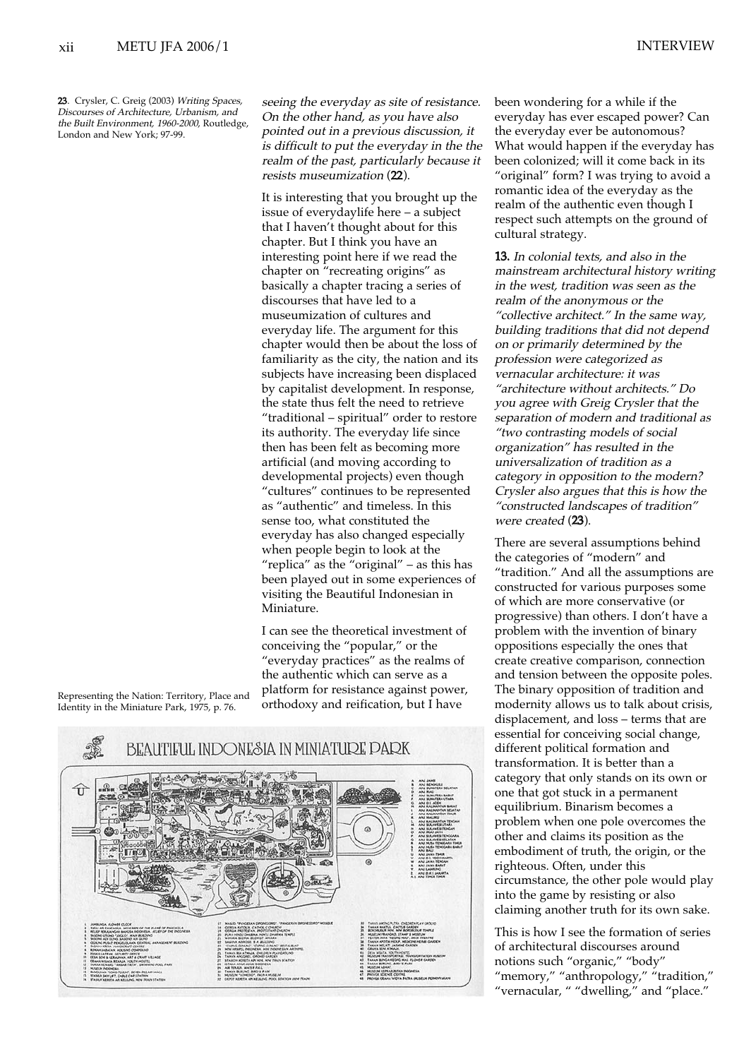23. Crysler, C. Greig (2003) Writing Spaces, Discourses of Architecture, Urbanism, and the Built Environment, 1960-2000, Routledge, London and New York; 97-99.

seeing the everyday as site of resistance. On the other hand, as you have also pointed out in a previous discussion, it is difficult to put the everyday in the the realm of the past, particularly because it resists museumization (22).

It is interesting that you brought up the issue of everydaylife here – a subject that I haven't thought about for this chapter. But I think you have an interesting point here if we read the chapter on "recreating origins" as basically a chapter tracing a series of discourses that have led to a museumization of cultures and everyday life. The argument for this chapter would then be about the loss of familiarity as the city, the nation and its subjects have increasing been displaced by capitalist development. In response, the state thus felt the need to retrieve "traditional – spiritual" order to restore its authority. The everyday life since then has been felt as becoming more artificial (and moving according to developmental projects) even though "cultures" continues to be represented as "authentic" and timeless. In this sense too, what constituted the everyday has also changed especially when people begin to look at the "replica" as the "original" – as this has been played out in some experiences of visiting the Beautiful Indonesian in Miniature.

I can see the theoretical investment of conceiving the "popular," or the "everyday practices" as the realms of the authentic which can serve as a platform for resistance against power, orthodoxy and reification, but I have





been wondering for a while if the everyday has ever escaped power? Can the everyday ever be autonomous? What would happen if the everyday has been colonized; will it come back in its "original" form? I was trying to avoid a romantic idea of the everyday as the realm of the authentic even though I respect such attempts on the ground of cultural strategy.

13. In colonial texts, and also in the mainstream architectural history writing in the west, tradition was seen as the realm of the anonymous or the "collective architect." In the same way, building traditions that did not depend on or primarily determined by the profession were categorized as vernacular architecture: it was "architecture without architects." Do you agree with Greig Crysler that the separation of modern and traditional as "two contrasting models of social organization" has resulted in the universalization of tradition as a category in opposition to the modern? Crysler also argues that this is how the "constructed landscapes of tradition" were created (23).

There are several assumptions behind the categories of "modern" and "tradition." And all the assumptions are constructed for various purposes some of which are more conservative (or progressive) than others. I don't have a problem with the invention of binary oppositions especially the ones that create creative comparison, connection and tension between the opposite poles. The binary opposition of tradition and modernity allows us to talk about crisis, displacement, and loss – terms that are essential for conceiving social change, different political formation and transformation. It is better than a category that only stands on its own or one that got stuck in a permanent equilibrium. Binarism becomes a problem when one pole overcomes the other and claims its position as the embodiment of truth, the origin, or the righteous. Often, under this circumstance, the other pole would play into the game by resisting or also claiming another truth for its own sake.

This is how I see the formation of series of architectural discourses around notions such "organic," "body" "memory," "anthropology," "tradition," "vernacular, " "dwelling," and "place."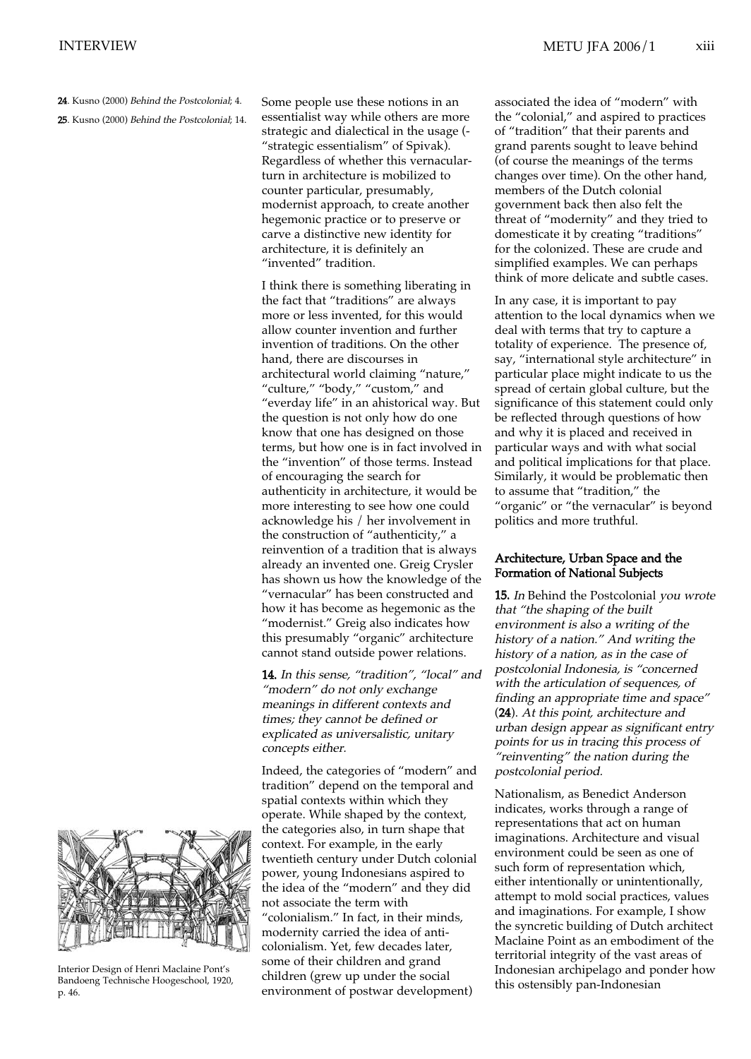24. Kusno (2000) Behind the Postcolonial: 4.

25. Kusno (2000) Behind the Postcolonial; 14.

Some people use these notions in an essentialist way while others are more strategic and dialectical in the usage (- "strategic essentialism" of Spivak). Regardless of whether this vernacularturn in architecture is mobilized to counter particular, presumably, modernist approach, to create another hegemonic practice or to preserve or carve a distinctive new identity for architecture, it is definitely an "invented" tradition.

I think there is something liberating in the fact that "traditions" are always more or less invented, for this would allow counter invention and further invention of traditions. On the other hand, there are discourses in architectural world claiming "nature," "culture," "body," "custom," and "everday life" in an ahistorical way. But the question is not only how do one know that one has designed on those terms, but how one is in fact involved in the "invention" of those terms. Instead of encouraging the search for authenticity in architecture, it would be more interesting to see how one could acknowledge his / her involvement in the construction of "authenticity," a reinvention of a tradition that is always already an invented one. Greig Crysler has shown us how the knowledge of the "vernacular" has been constructed and how it has become as hegemonic as the "modernist." Greig also indicates how this presumably "organic" architecture cannot stand outside power relations.

14. In this sense, "tradition", "local" and "modern" do not only exchange meanings in different contexts and times; they cannot be defined or explicated as universalistic, unitary concepts either.

Indeed, the categories of "modern" and tradition" depend on the temporal and spatial contexts within which they operate. While shaped by the context, the categories also, in turn shape that context. For example, in the early twentieth century under Dutch colonial power, young Indonesians aspired to the idea of the "modern" and they did not associate the term with "colonialism." In fact, in their minds, modernity carried the idea of anticolonialism. Yet, few decades later, some of their children and grand children (grew up under the social environment of postwar development)

associated the idea of "modern" with the "colonial," and aspired to practices of "tradition" that their parents and grand parents sought to leave behind (of course the meanings of the terms changes over time). On the other hand, members of the Dutch colonial government back then also felt the threat of "modernity" and they tried to domesticate it by creating "traditions" for the colonized. These are crude and simplified examples. We can perhaps think of more delicate and subtle cases.

In any case, it is important to pay attention to the local dynamics when we deal with terms that try to capture a totality of experience. The presence of, say, "international style architecture" in particular place might indicate to us the spread of certain global culture, but the significance of this statement could only be reflected through questions of how and why it is placed and received in particular ways and with what social and political implications for that place. Similarly, it would be problematic then to assume that "tradition," the "organic" or "the vernacular" is beyond politics and more truthful.

# Architecture, Urban Space and the Formation of National Subjects

15. In Behind the Postcolonial you wrote that "the shaping of the built environment is also a writing of the history of a nation." And writing the history of a nation, as in the case of postcolonial Indonesia, is "concerned with the articulation of sequences, of finding an appropriate time and space" (24). At this point, architecture and urban design appear as significant entry points for us in tracing this process of "reinventing" the nation during the postcolonial period.

Nationalism, as Benedict Anderson indicates, works through a range of representations that act on human imaginations. Architecture and visual environment could be seen as one of such form of representation which, either intentionally or unintentionally, attempt to mold social practices, values and imaginations. For example, I show the syncretic building of Dutch architect Maclaine Point as an embodiment of the territorial integrity of the vast areas of Indonesian archipelago and ponder how this ostensibly pan-Indonesian



Interior Design of Henri Maclaine Pont's Bandoeng Technische Hoogeschool, 1920, p. 46.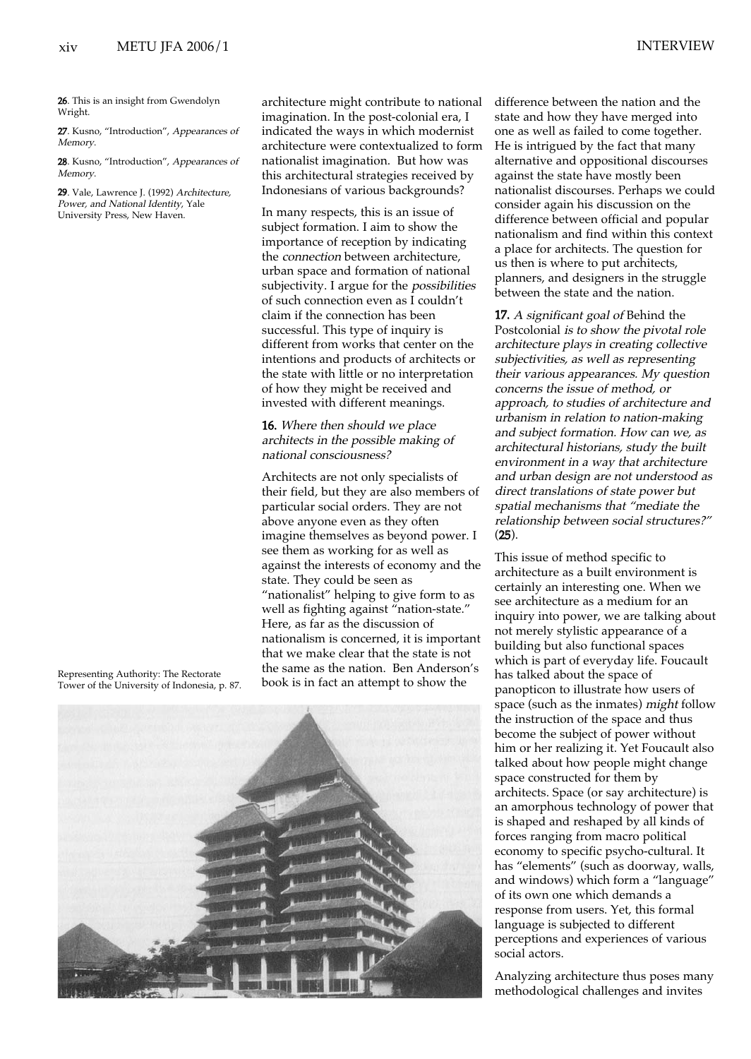26. This is an insight from Gwendolyn Wright.

27. Kusno, "Introduction", Appearances of Memory.

28. Kusno, "Introduction", Appearances of Memory.

29. Vale, Lawrence J. (1992) Architecture, Power, and National Identity, Yale University Press, New Haven.

Representing Authority: The Rectorate Tower of the University of Indonesia, p. 87.

architecture might contribute to national imagination. In the post-colonial era, I indicated the ways in which modernist architecture were contextualized to form nationalist imagination. But how was this architectural strategies received by Indonesians of various backgrounds?

In many respects, this is an issue of subject formation. I aim to show the importance of reception by indicating the connection between architecture, urban space and formation of national subjectivity. I argue for the *possibilities* of such connection even as I couldn't claim if the connection has been successful. This type of inquiry is different from works that center on the intentions and products of architects or the state with little or no interpretation of how they might be received and invested with different meanings.

## 16. Where then should we place architects in the possible making of national consciousness?

Architects are not only specialists of their field, but they are also members of particular social orders. They are not above anyone even as they often imagine themselves as beyond power. I see them as working for as well as against the interests of economy and the state. They could be seen as "nationalist" helping to give form to as well as fighting against "nation-state." Here, as far as the discussion of nationalism is concerned, it is important that we make clear that the state is not the same as the nation. Ben Anderson's book is in fact an attempt to show the

difference between the nation and the state and how they have merged into one as well as failed to come together. He is intrigued by the fact that many alternative and oppositional discourses against the state have mostly been nationalist discourses. Perhaps we could consider again his discussion on the difference between official and popular nationalism and find within this context a place for architects. The question for us then is where to put architects, planners, and designers in the struggle between the state and the nation.

17. A significant goal of Behind the Postcolonial is to show the pivotal role architecture plays in creating collective subjectivities, as well as representing their various appearances. My question concerns the issue of method, or approach, to studies of architecture and urbanism in relation to nation-making and subject formation. How can we, as architectural historians, study the built environment in a way that architecture and urban design are not understood as direct translations of state power but spatial mechanisms that "mediate the relationship between social structures?" (25).

This issue of method specific to architecture as a built environment is certainly an interesting one. When we see architecture as a medium for an inquiry into power, we are talking about not merely stylistic appearance of a building but also functional spaces which is part of everyday life. Foucault has talked about the space of panopticon to illustrate how users of space (such as the inmates) *might* follow the instruction of the space and thus become the subject of power without him or her realizing it. Yet Foucault also talked about how people might change space constructed for them by architects. Space (or say architecture) is an amorphous technology of power that is shaped and reshaped by all kinds of forces ranging from macro political economy to specific psycho-cultural. It has "elements" (such as doorway, walls, and windows) which form a "language" of its own one which demands a response from users. Yet, this formal language is subjected to different perceptions and experiences of various social actors.

Analyzing architecture thus poses many methodological challenges and invites

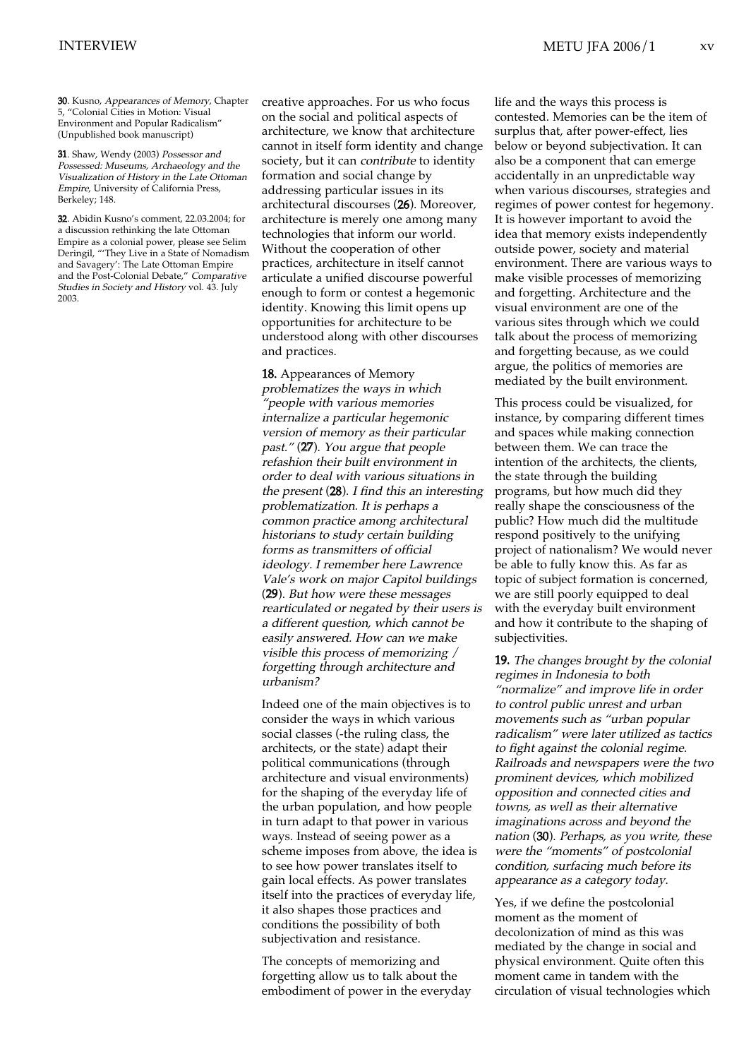30. Kusno, Appearances of Memory, Chapter 5, "Colonial Cities in Motion: Visual Environment and Popular Radicalism" (Unpublished book manuscript)

31. Shaw, Wendy (2003) Possessor and Possessed: Museums, Archaeology and the Visualization of History in the Late Ottoman Empire, University of California Press, Berkeley; 148.

32. Abidin Kusno's comment, 22.03.2004; for a discussion rethinking the late Ottoman Empire as a colonial power, please see Selim Deringil, "'They Live in a State of Nomadism and Savagery': The Late Ottoman Empire and the Post-Colonial Debate," Comparative Studies in Society and History vol. 43. July 2003.

creative approaches. For us who focus on the social and political aspects of architecture, we know that architecture cannot in itself form identity and change society, but it can contribute to identity formation and social change by addressing particular issues in its architectural discourses (26). Moreover, architecture is merely one among many technologies that inform our world. Without the cooperation of other practices, architecture in itself cannot articulate a unified discourse powerful enough to form or contest a hegemonic identity. Knowing this limit opens up opportunities for architecture to be understood along with other discourses and practices.

18. Appearances of Memory problematizes the ways in which "people with various memories internalize a particular hegemonic version of memory as their particular past." (27). You argue that people refashion their built environment in order to deal with various situations in the present (28). I find this an interesting problematization. It is perhaps a common practice among architectural historians to study certain building forms as transmitters of official ideology. I remember here Lawrence Vale's work on major Capitol buildings (29). But how were these messages rearticulated or negated by their users is a different question, which cannot be easily answered. How can we make visible this process of memorizing / forgetting through architecture and urbanism?

Indeed one of the main objectives is to consider the ways in which various social classes (-the ruling class, the architects, or the state) adapt their political communications (through architecture and visual environments) for the shaping of the everyday life of the urban population, and how people in turn adapt to that power in various ways. Instead of seeing power as a scheme imposes from above, the idea is to see how power translates itself to gain local effects. As power translates itself into the practices of everyday life, it also shapes those practices and conditions the possibility of both subjectivation and resistance.

The concepts of memorizing and forgetting allow us to talk about the embodiment of power in the everyday life and the ways this process is contested. Memories can be the item of surplus that, after power-effect, lies below or beyond subjectivation. It can also be a component that can emerge accidentally in an unpredictable way when various discourses, strategies and regimes of power contest for hegemony. It is however important to avoid the idea that memory exists independently outside power, society and material environment. There are various ways to make visible processes of memorizing and forgetting. Architecture and the visual environment are one of the various sites through which we could talk about the process of memorizing and forgetting because, as we could argue, the politics of memories are mediated by the built environment.

This process could be visualized, for instance, by comparing different times and spaces while making connection between them. We can trace the intention of the architects, the clients, the state through the building programs, but how much did they really shape the consciousness of the public? How much did the multitude respond positively to the unifying project of nationalism? We would never be able to fully know this. As far as topic of subject formation is concerned, we are still poorly equipped to deal with the everyday built environment and how it contribute to the shaping of subjectivities.

19. The changes brought by the colonial regimes in Indonesia to both "normalize" and improve life in order to control public unrest and urban movements such as "urban popular radicalism" were later utilized as tactics to fight against the colonial regime. Railroads and newspapers were the two prominent devices, which mobilized opposition and connected cities and towns, as well as their alternative imaginations across and beyond the nation (30). Perhaps, as you write, these were the "moments" of postcolonial condition, surfacing much before its appearance as a category today.

Yes, if we define the postcolonial moment as the moment of decolonization of mind as this was mediated by the change in social and physical environment. Quite often this moment came in tandem with the circulation of visual technologies which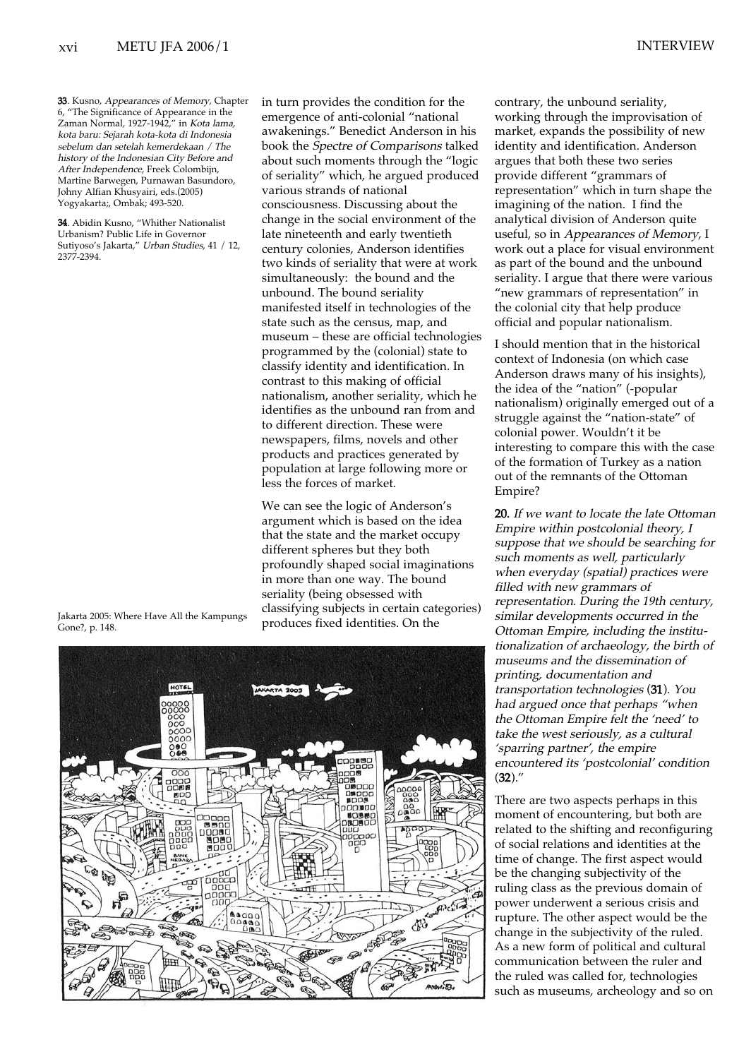33. Kusno, Appearances of Memory, Chapter 6, "The Significance of Appearance in the Zaman Normal, 1927-1942," in Kota lama, kota baru: Sejarah kota-kota di Indonesia sebelum dan setelah kemerdekaan / The history of the Indonesian City Before and After Independence, Freek Colombijn, Martine Barwegen, Purnawan Basundoro, Johny Alfian Khusyairi, eds.(2005) Yogyakarta;, Ombak; 493-520.

34. Abidin Kusno, "Whither Nationalist Urbanism? Public Life in Governor Sutiyoso's Jakarta," Urban Studies, 41 / 12, 2377-2394.

Jakarta 2005: Where Have All the Kampungs Gone?, p. 148.

in turn provides the condition for the emergence of anti-colonial "national awakenings." Benedict Anderson in his book the Spectre of Comparisons talked about such moments through the "logic of seriality" which, he argued produced various strands of national consciousness. Discussing about the change in the social environment of the late nineteenth and early twentieth century colonies, Anderson identifies two kinds of seriality that were at work simultaneously: the bound and the unbound. The bound seriality manifested itself in technologies of the state such as the census, map, and museum – these are official technologies programmed by the (colonial) state to classify identity and identification. In contrast to this making of official nationalism, another seriality, which he identifies as the unbound ran from and to different direction. These were newspapers, films, novels and other products and practices generated by population at large following more or less the forces of market.

We can see the logic of Anderson's argument which is based on the idea that the state and the market occupy different spheres but they both profoundly shaped social imaginations in more than one way. The bound seriality (being obsessed with classifying subjects in certain categories) produces fixed identities. On the



contrary, the unbound seriality, working through the improvisation of market, expands the possibility of new identity and identification. Anderson argues that both these two series provide different "grammars of representation" which in turn shape the imagining of the nation. I find the analytical division of Anderson quite useful, so in Appearances of Memory, I work out a place for visual environment as part of the bound and the unbound seriality. I argue that there were various "new grammars of representation" in the colonial city that help produce official and popular nationalism.

I should mention that in the historical context of Indonesia (on which case Anderson draws many of his insights), the idea of the "nation" (-popular nationalism) originally emerged out of a struggle against the "nation-state" of colonial power. Wouldn't it be interesting to compare this with the case of the formation of Turkey as a nation out of the remnants of the Ottoman Empire?

20. If we want to locate the late Ottoman Empire within postcolonial theory, I suppose that we should be searching for such moments as well, particularly when everyday (spatial) practices were filled with new grammars of representation. During the 19th century, similar developments occurred in the Ottoman Empire, including the institutionalization of archaeology, the birth of museums and the dissemination of printing, documentation and transportation technologies (31). You had argued once that perhaps "when the Ottoman Empire felt the 'need' to take the west seriously, as a cultural 'sparring partner', the empire encountered its 'postcolonial' condition  $(32).''$ 

There are two aspects perhaps in this moment of encountering, but both are related to the shifting and reconfiguring of social relations and identities at the time of change. The first aspect would be the changing subjectivity of the ruling class as the previous domain of power underwent a serious crisis and rupture. The other aspect would be the change in the subjectivity of the ruled. As a new form of political and cultural communication between the ruler and the ruled was called for, technologies such as museums, archeology and so on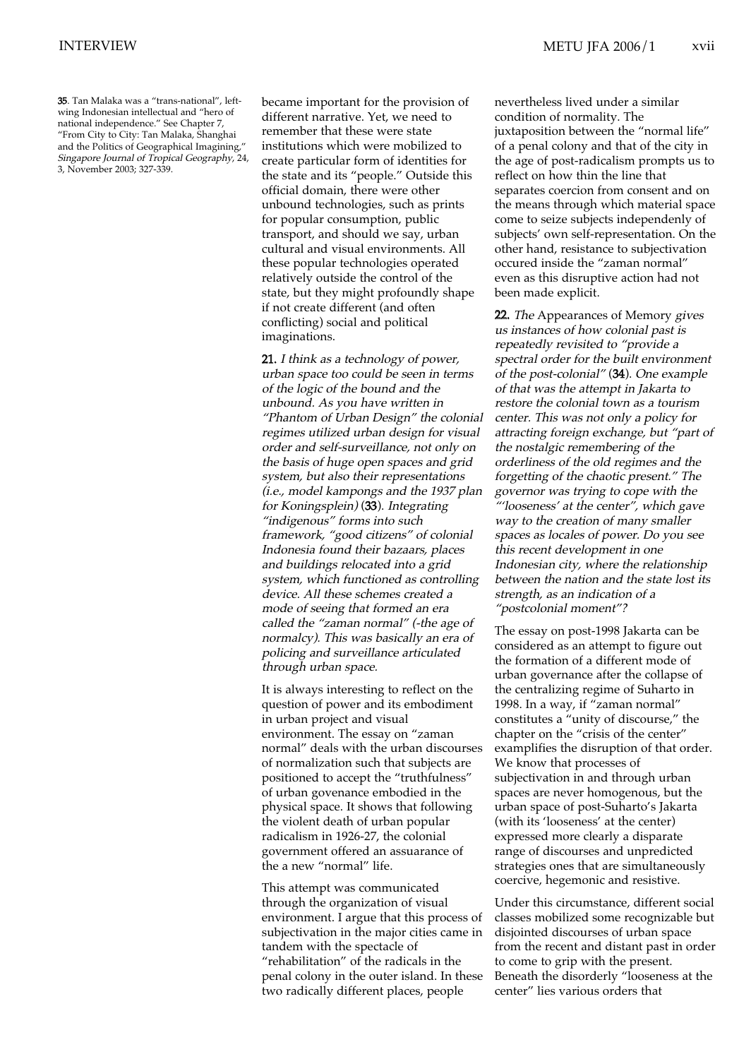35. Tan Malaka was a "trans-national", leftwing Indonesian intellectual and "hero of national independence." See Chapter 7, "From City to City: Tan Malaka, Shanghai and the Politics of Geographical Imagining," Singapore Journal of Tropical Geography, 24, 3, November 2003; 327-339.

became important for the provision of different narrative. Yet, we need to remember that these were state institutions which were mobilized to create particular form of identities for the state and its "people." Outside this official domain, there were other unbound technologies, such as prints for popular consumption, public transport, and should we say, urban cultural and visual environments. All these popular technologies operated relatively outside the control of the state, but they might profoundly shape if not create different (and often conflicting) social and political imaginations.

21. I think as a technology of power, urban space too could be seen in terms of the logic of the bound and the unbound. As you have written in "Phantom of Urban Design" the colonial regimes utilized urban design for visual order and self-surveillance, not only on the basis of huge open spaces and grid system, but also their representations (i.e., model kampongs and the 1937 plan for Koningsplein) (33). Integrating "indigenous" forms into such framework, "good citizens" of colonial Indonesia found their bazaars, places and buildings relocated into a grid system, which functioned as controlling device. All these schemes created a mode of seeing that formed an era called the "zaman normal" (-the age of normalcy). This was basically an era of policing and surveillance articulated through urban space.

It is always interesting to reflect on the question of power and its embodiment in urban project and visual environment. The essay on "zaman normal" deals with the urban discourses of normalization such that subjects are positioned to accept the "truthfulness" of urban govenance embodied in the physical space. It shows that following the violent death of urban popular radicalism in 1926-27, the colonial government offered an assuarance of the a new "normal" life.

This attempt was communicated through the organization of visual environment. I argue that this process of subjectivation in the major cities came in tandem with the spectacle of "rehabilitation" of the radicals in the penal colony in the outer island. In these two radically different places, people

nevertheless lived under a similar condition of normality. The juxtaposition between the "normal life" of a penal colony and that of the city in the age of post-radicalism prompts us to reflect on how thin the line that separates coercion from consent and on the means through which material space come to seize subjects independenly of subjects' own self-representation. On the other hand, resistance to subjectivation occured inside the "zaman normal" even as this disruptive action had not been made explicit.

22. The Appearances of Memory gives us instances of how colonial past is repeatedly revisited to "provide a spectral order for the built environment of the post-colonial" (34). One example of that was the attempt in Jakarta to restore the colonial town as a tourism center. This was not only a policy for attracting foreign exchange, but "part of the nostalgic remembering of the orderliness of the old regimes and the forgetting of the chaotic present." The governor was trying to cope with the "'looseness' at the center", which gave way to the creation of many smaller spaces as locales of power. Do you see this recent development in one Indonesian city, where the relationship between the nation and the state lost its strength, as an indication of a "postcolonial moment"?

The essay on post-1998 Jakarta can be considered as an attempt to figure out the formation of a different mode of urban governance after the collapse of the centralizing regime of Suharto in 1998. In a way, if "zaman normal" constitutes a "unity of discourse," the chapter on the "crisis of the center" examplifies the disruption of that order. We know that processes of subjectivation in and through urban spaces are never homogenous, but the urban space of post-Suharto's Jakarta (with its 'looseness' at the center) expressed more clearly a disparate range of discourses and unpredicted strategies ones that are simultaneously coercive, hegemonic and resistive.

Under this circumstance, different social classes mobilized some recognizable but disjointed discourses of urban space from the recent and distant past in order to come to grip with the present. Beneath the disorderly "looseness at the center" lies various orders that